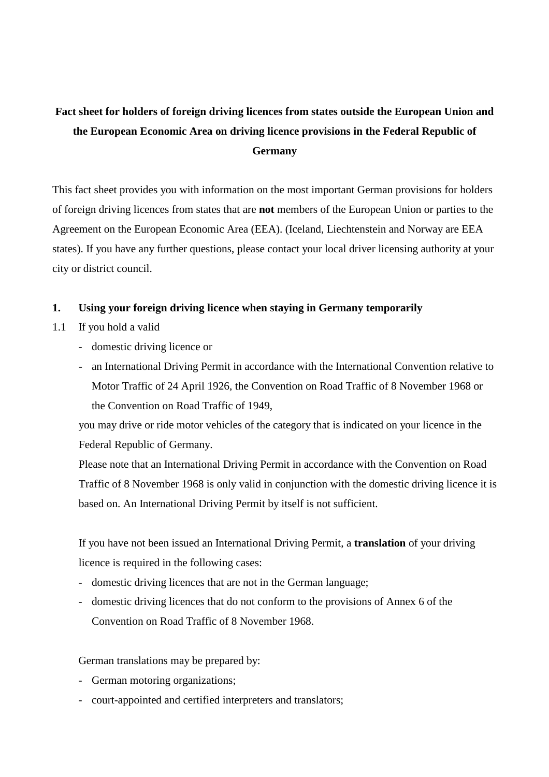# **Fact sheet for holders of foreign driving licences from states outside the European Union and the European Economic Area on driving licence provisions in the Federal Republic of Germany**

This fact sheet provides you with information on the most important German provisions for holders of foreign driving licences from states that are **not** members of the European Union or parties to the Agreement on the European Economic Area (EEA). (Iceland, Liechtenstein and Norway are EEA states). If you have any further questions, please contact your local driver licensing authority at your city or district council.

## **1. Using your foreign driving licence when staying in Germany temporarily**

- 1.1 If you hold a valid
	- domestic driving licence or
	- an International Driving Permit in accordance with the International Convention relative to Motor Traffic of 24 April 1926, the Convention on Road Traffic of 8 November 1968 or the Convention on Road Traffic of 1949,

you may drive or ride motor vehicles of the category that is indicated on your licence in the Federal Republic of Germany.

Please note that an International Driving Permit in accordance with the Convention on Road Traffic of 8 November 1968 is only valid in conjunction with the domestic driving licence it is based on. An International Driving Permit by itself is not sufficient.

If you have not been issued an International Driving Permit, a **translation** of your driving licence is required in the following cases:

- domestic driving licences that are not in the German language;
- domestic driving licences that do not conform to the provisions of Annex 6 of the Convention on Road Traffic of 8 November 1968.

German translations may be prepared by:

- German motoring organizations;
- court-appointed and certified interpreters and translators;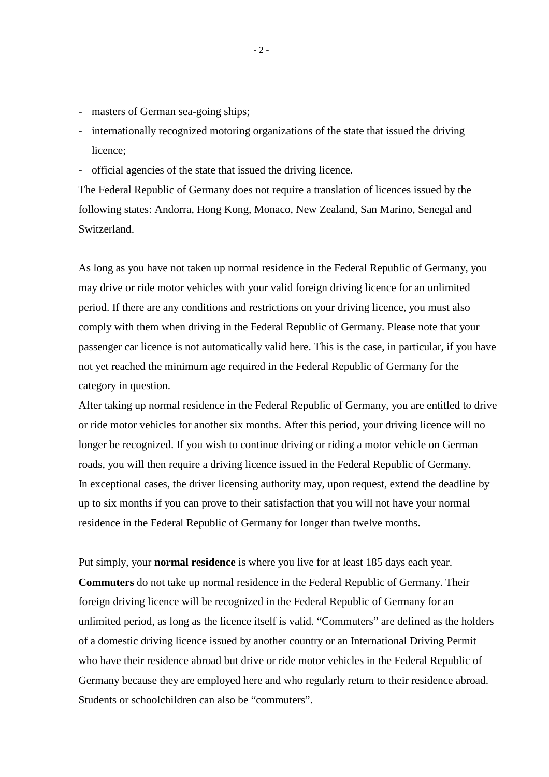- masters of German sea-going ships;
- internationally recognized motoring organizations of the state that issued the driving licence;
- official agencies of the state that issued the driving licence.

The Federal Republic of Germany does not require a translation of licences issued by the following states: Andorra, Hong Kong, Monaco, New Zealand, San Marino, Senegal and Switzerland.

As long as you have not taken up normal residence in the Federal Republic of Germany, you may drive or ride motor vehicles with your valid foreign driving licence for an unlimited period. If there are any conditions and restrictions on your driving licence, you must also comply with them when driving in the Federal Republic of Germany. Please note that your passenger car licence is not automatically valid here. This is the case, in particular, if you have not yet reached the minimum age required in the Federal Republic of Germany for the category in question.

After taking up normal residence in the Federal Republic of Germany, you are entitled to drive or ride motor vehicles for another six months. After this period, your driving licence will no longer be recognized. If you wish to continue driving or riding a motor vehicle on German roads, you will then require a driving licence issued in the Federal Republic of Germany. In exceptional cases, the driver licensing authority may, upon request, extend the deadline by up to six months if you can prove to their satisfaction that you will not have your normal residence in the Federal Republic of Germany for longer than twelve months.

Put simply, your **normal residence** is where you live for at least 185 days each year. **Commuters** do not take up normal residence in the Federal Republic of Germany. Their foreign driving licence will be recognized in the Federal Republic of Germany for an unlimited period, as long as the licence itself is valid. "Commuters" are defined as the holders of a domestic driving licence issued by another country or an International Driving Permit who have their residence abroad but drive or ride motor vehicles in the Federal Republic of Germany because they are employed here and who regularly return to their residence abroad. Students or schoolchildren can also be "commuters".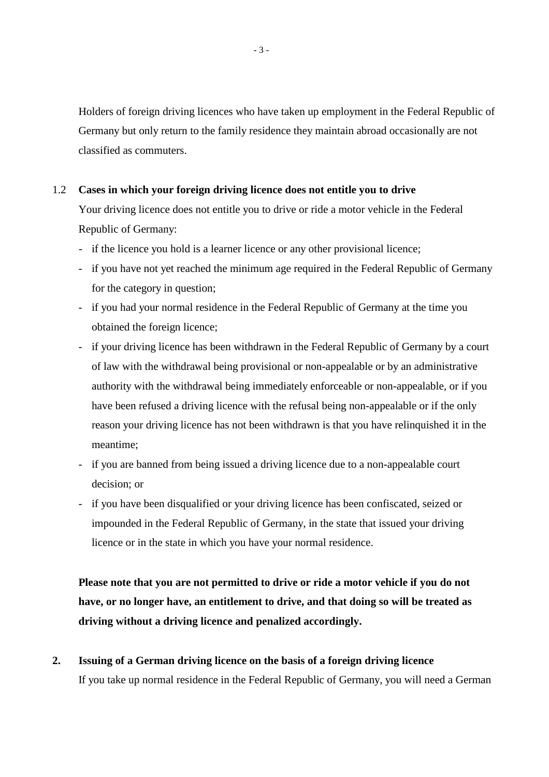Holders of foreign driving licences who have taken up employment in the Federal Republic of Germany but only return to the family residence they maintain abroad occasionally are not classified as commuters.

#### 1.2 **Cases in which your foreign driving licence does not entitle you to drive**

Your driving licence does not entitle you to drive or ride a motor vehicle in the Federal Republic of Germany:

- if the licence you hold is a learner licence or any other provisional licence;
- if you have not yet reached the minimum age required in the Federal Republic of Germany for the category in question;
- if you had your normal residence in the Federal Republic of Germany at the time you obtained the foreign licence;
- if your driving licence has been withdrawn in the Federal Republic of Germany by a court of law with the withdrawal being provisional or non-appealable or by an administrative authority with the withdrawal being immediately enforceable or non-appealable, or if you have been refused a driving licence with the refusal being non-appealable or if the only reason your driving licence has not been withdrawn is that you have relinquished it in the meantime;
- if you are banned from being issued a driving licence due to a non-appealable court decision; or
- if you have been disqualified or your driving licence has been confiscated, seized or impounded in the Federal Republic of Germany, in the state that issued your driving licence or in the state in which you have your normal residence.

**Please note that you are not permitted to drive or ride a motor vehicle if you do not have, or no longer have, an entitlement to drive, and that doing so will be treated as driving without a driving licence and penalized accordingly.**

**2. Issuing of a German driving licence on the basis of a foreign driving licence** If you take up normal residence in the Federal Republic of Germany, you will need a German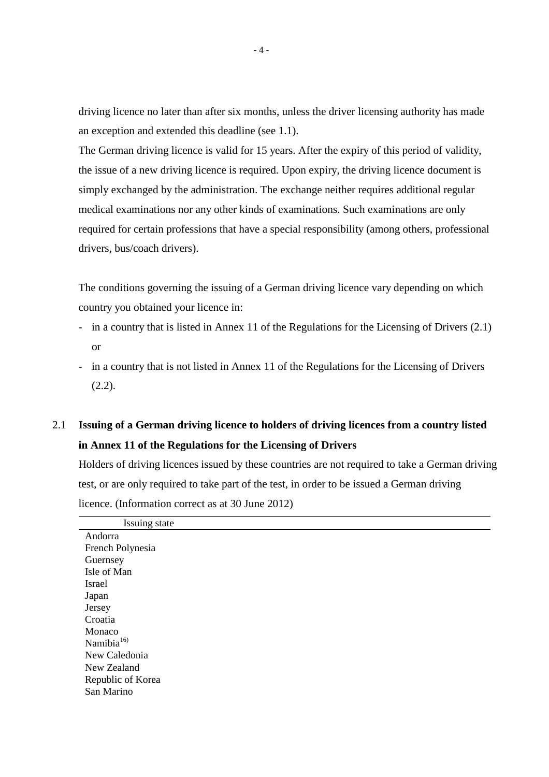driving licence no later than after six months, unless the driver licensing authority has made an exception and extended this deadline (see 1.1).

The German driving licence is valid for 15 years. After the expiry of this period of validity, the issue of a new driving licence is required. Upon expiry, the driving licence document is simply exchanged by the administration. The exchange neither requires additional regular medical examinations nor any other kinds of examinations. Such examinations are only required for certain professions that have a special responsibility (among others, professional drivers, bus/coach drivers).

The conditions governing the issuing of a German driving licence vary depending on which country you obtained your licence in:

- in a country that is listed in Annex 11 of the Regulations for the Licensing of Drivers (2.1) or
- in a country that is not listed in Annex 11 of the Regulations for the Licensing of Drivers  $(2.2)$ .

## 2.1 **Issuing of a German driving licence to holders of driving licences from a country listed in Annex 11 of the Regulations for the Licensing of Drivers**

Holders of driving licences issued by these countries are not required to take a German driving test, or are only required to take part of the test, in order to be issued a German driving licence. (Information correct as at 30 June 2012)

| Issuing state          |
|------------------------|
| Andorra                |
| French Polynesia       |
| Guernsey               |
| Isle of Man            |
| Israel                 |
| Japan                  |
| Jersey                 |
| Croatia                |
| Monaco                 |
| Namibia <sup>16)</sup> |
| New Caledonia          |
| New Zealand            |
| Republic of Korea      |
| San Marino             |
|                        |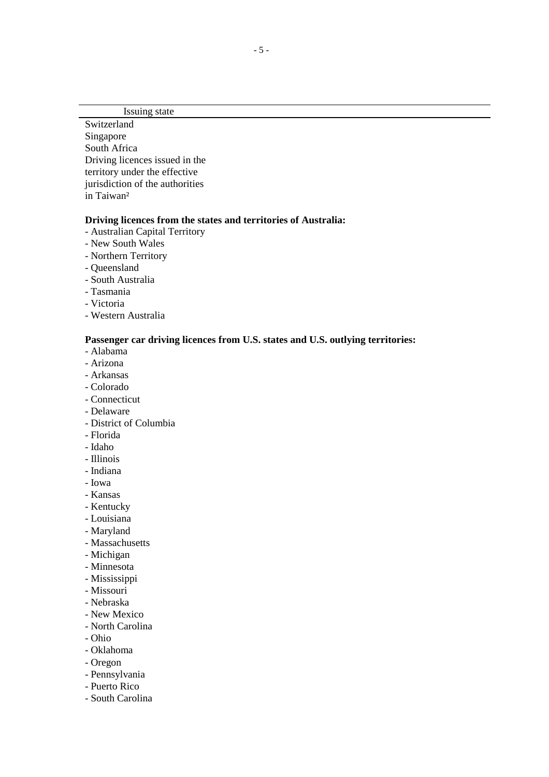Issuing state

**Switzerland** Singapore South Africa Driving licences issued in the territory under the effective jurisdiction of the authorities in Taiwan²

#### **Driving licences from the states and territories of Australia:**

- Australian Capital Territory
- New South Wales
- Northern Territory
- Queensland
- South Australia
- Tasmania
- Victoria
- Western Australia

#### **Passenger car driving licences from U.S. states and U.S. outlying territories:**

- Alabama
- Arizona
- Arkansas
- Colorado
- Connecticut
- Delaware
- District of Columbia
- Florida
- Idaho
- Illinois
- Indiana
- Iowa
- Kansas
- Kentucky
- Louisiana
- Maryland
- Massachusetts
- Michigan
- Minnesota
- Mississippi
- Missouri
- Nebraska
- New Mexico
- North Carolina
- Ohio
- Oklahoma
- Oregon
- Pennsylvania
- Puerto Rico
- South Carolina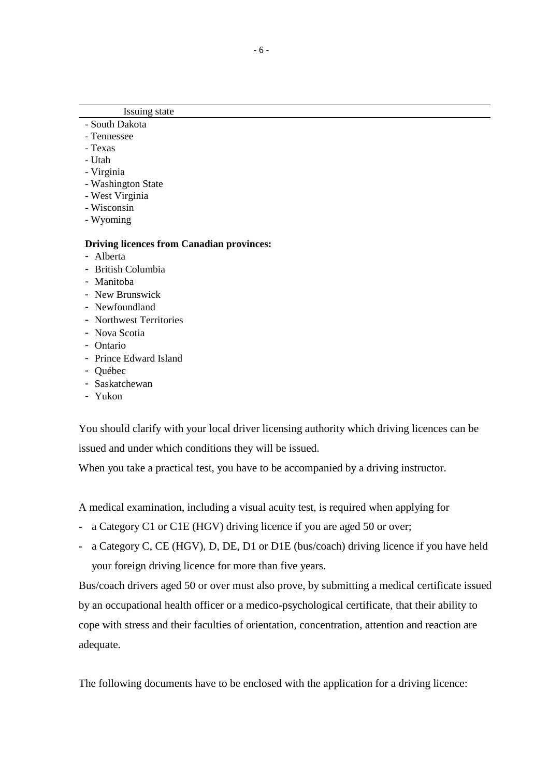### Issuing state

- South Dakota - Tennessee
- Texas
- Utah
- Virginia
- Washington State
- West Virginia
- Wisconsin
- Wyoming

#### **Driving licences from Canadian provinces:**

- Alberta
- British Columbia
- Manitoba
- New Brunswick
- Newfoundland
- Northwest Territories
- Nova Scotia
- Ontario
- Prince Edward Island
- Québec
- Saskatchewan
- Yukon

 You should clarify with your local driver licensing authority which driving licences can be issued and under which conditions they will be issued.

When you take a practical test, you have to be accompanied by a driving instructor.

A medical examination, including a visual acuity test, is required when applying for

- a Category C1 or C1E (HGV) driving licence if you are aged 50 or over;
- a Category C, CE (HGV), D, DE, D1 or D1E (bus/coach) driving licence if you have held your foreign driving licence for more than five years.

Bus/coach drivers aged 50 or over must also prove, by submitting a medical certificate issued by an occupational health officer or a medico-psychological certificate, that their ability to cope with stress and their faculties of orientation, concentration, attention and reaction are adequate.

The following documents have to be enclosed with the application for a driving licence: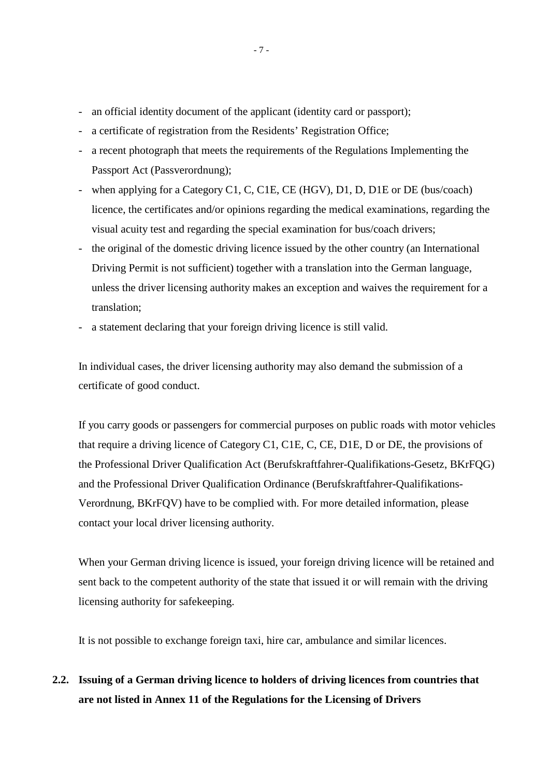- an official identity document of the applicant (identity card or passport);
- a certificate of registration from the Residents' Registration Office;
- a recent photograph that meets the requirements of the Regulations Implementing the Passport Act (Passverordnung);
- when applying for a Category C1, C, C1E, CE (HGV), D1, D, D1E or DE (bus/coach) licence, the certificates and/or opinions regarding the medical examinations, regarding the visual acuity test and regarding the special examination for bus/coach drivers;
- the original of the domestic driving licence issued by the other country (an International Driving Permit is not sufficient) together with a translation into the German language, unless the driver licensing authority makes an exception and waives the requirement for a translation;
- a statement declaring that your foreign driving licence is still valid.

 In individual cases, the driver licensing authority may also demand the submission of a certificate of good conduct.

If you carry goods or passengers for commercial purposes on public roads with motor vehicles that require a driving licence of Category C1, C1E, C, CE, D1E, D or DE, the provisions of the Professional Driver Qualification Act (Berufskraftfahrer-Qualifikations-Gesetz, BKrFQG) and the Professional Driver Qualification Ordinance (Berufskraftfahrer-Qualifikations-Verordnung, BKrFQV) have to be complied with. For more detailed information, please contact your local driver licensing authority.

When your German driving licence is issued, your foreign driving licence will be retained and sent back to the competent authority of the state that issued it or will remain with the driving licensing authority for safekeeping.

It is not possible to exchange foreign taxi, hire car, ambulance and similar licences.

**2.2. Issuing of a German driving licence to holders of driving licences from countries that are not listed in Annex 11 of the Regulations for the Licensing of Drivers**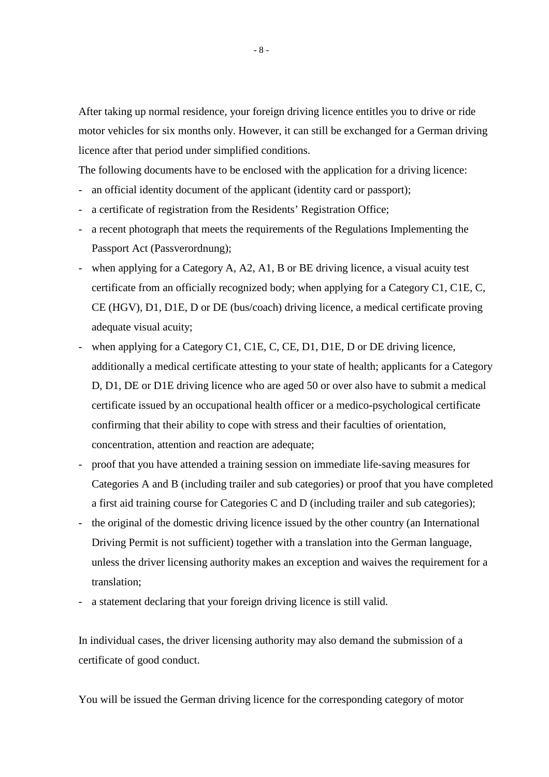After taking up normal residence, your foreign driving licence entitles you to drive or ride motor vehicles for six months only. However, it can still be exchanged for a German driving licence after that period under simplified conditions.

The following documents have to be enclosed with the application for a driving licence:

- an official identity document of the applicant (identity card or passport);
- a certificate of registration from the Residents' Registration Office;
- a recent photograph that meets the requirements of the Regulations Implementing the Passport Act (Passverordnung);
- when applying for a Category A, A2, A1, B or BE driving licence, a visual acuity test certificate from an officially recognized body; when applying for a Category C1, C1E, C, CE (HGV), D1, D1E, D or DE (bus/coach) driving licence, a medical certificate proving adequate visual acuity;
- when applying for a Category C1, C1E, C, CE, D1, D1E, D or DE driving licence, additionally a medical certificate attesting to your state of health; applicants for a Category D, D1, DE or D1E driving licence who are aged 50 or over also have to submit a medical certificate issued by an occupational health officer or a medico-psychological certificate confirming that their ability to cope with stress and their faculties of orientation, concentration, attention and reaction are adequate;
- proof that you have attended a training session on immediate life-saving measures for Categories A and B (including trailer and sub categories) or proof that you have completed a first aid training course for Categories C and D (including trailer and sub categories);
- the original of the domestic driving licence issued by the other country (an International Driving Permit is not sufficient) together with a translation into the German language, unless the driver licensing authority makes an exception and waives the requirement for a translation;
- a statement declaring that your foreign driving licence is still valid.

 In individual cases, the driver licensing authority may also demand the submission of a certificate of good conduct.

You will be issued the German driving licence for the corresponding category of motor